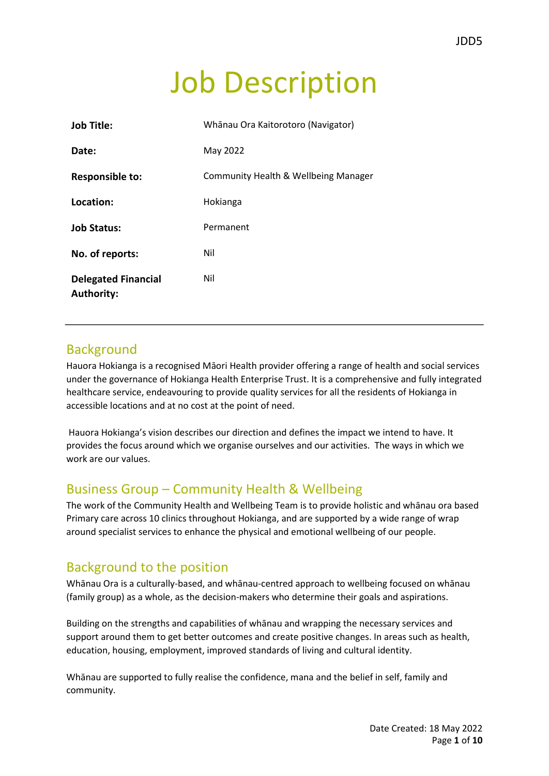# Job Description

| <b>Job Title:</b>                               | Whānau Ora Kaitorotoro (Navigator)   |
|-------------------------------------------------|--------------------------------------|
| Date:                                           | May 2022                             |
| <b>Responsible to:</b>                          | Community Health & Wellbeing Manager |
| Location:                                       | Hokianga                             |
| <b>Job Status:</b>                              | Permanent                            |
| No. of reports:                                 | Nil                                  |
| <b>Delegated Financial</b><br><b>Authority:</b> | Nil                                  |

## **Background**

Hauora Hokianga is a recognised Māori Health provider offering a range of health and social services under the governance of Hokianga Health Enterprise Trust. It is a comprehensive and fully integrated healthcare service, endeavouring to provide quality services for all the residents of Hokianga in accessible locations and at no cost at the point of need.

Hauora Hokianga's vision describes our direction and defines the impact we intend to have. It provides the focus around which we organise ourselves and our activities. The ways in which we work are our values.

# Business Group – Community Health & Wellbeing

The work of the Community Health and Wellbeing Team is to provide holistic and whānau ora based Primary care across 10 clinics throughout Hokianga, and are supported by a wide range of wrap around specialist services to enhance the physical and emotional wellbeing of our people.

## Background to the position

Whānau Ora is a culturally-based, and whānau-centred approach to wellbeing focused on whānau (family group) as a whole, as the decision-makers who determine their goals and aspirations.

Building on the strengths and capabilities of whānau and wrapping the necessary services and support around them to get better outcomes and create positive changes. In areas such as health, education, housing, employment, improved standards of living and cultural identity.

Whānau are supported to fully realise the confidence, mana and the belief in self, family and community.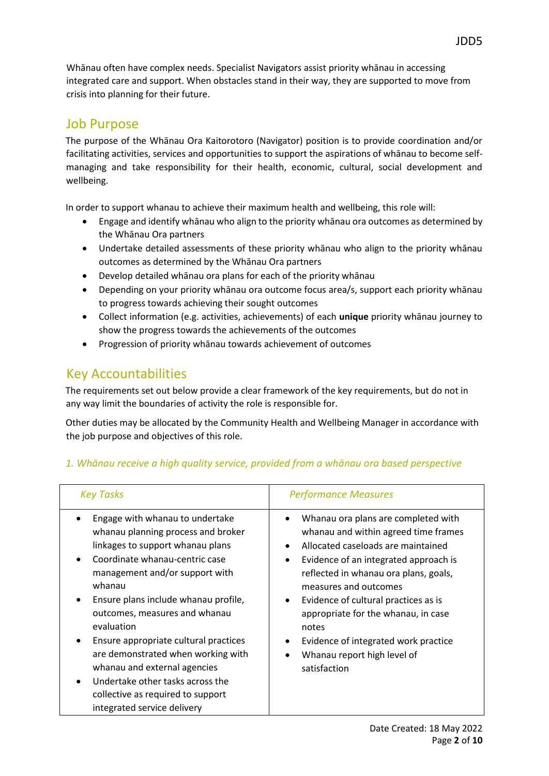Whānau often have complex needs. Specialist Navigators assist priority whānau in accessing integrated care and support. When obstacles stand in their way, they are supported to move from crisis into planning for their future.

## Job Purpose

The purpose of the Whānau Ora Kaitorotoro (Navigator) position is to provide coordination and/or facilitating activities, services and opportunities to support the aspirations of whānau to become selfmanaging and take responsibility for their health, economic, cultural, social development and wellbeing.

In order to support whanau to achieve their maximum health and wellbeing, this role will:

- Engage and identify whānau who align to the priority whānau ora outcomes as determined by the Whānau Ora partners
- Undertake detailed assessments of these priority whānau who align to the priority whānau outcomes as determined by the Whānau Ora partners
- Develop detailed whānau ora plans for each of the priority whānau
- Depending on your priority whānau ora outcome focus area/s, support each priority whānau to progress towards achieving their sought outcomes
- Collect information (e.g. activities, achievements) of each **unique** priority whānau journey to show the progress towards the achievements of the outcomes
- Progression of priority whānau towards achievement of outcomes

## Key Accountabilities

The requirements set out below provide a clear framework of the key requirements, but do not in any way limit the boundaries of activity the role is responsible for.

Other duties may be allocated by the Community Health and Wellbeing Manager in accordance with the job purpose and objectives of this role.

| <b>Key Tasks</b>                                                                                                                                                                                                                                                                                                                                                                                                                                                                                                                | <b>Performance Measures</b>                                                                                                                                                                                                                                                                                                                                                                                                           |
|---------------------------------------------------------------------------------------------------------------------------------------------------------------------------------------------------------------------------------------------------------------------------------------------------------------------------------------------------------------------------------------------------------------------------------------------------------------------------------------------------------------------------------|---------------------------------------------------------------------------------------------------------------------------------------------------------------------------------------------------------------------------------------------------------------------------------------------------------------------------------------------------------------------------------------------------------------------------------------|
| Engage with whanau to undertake<br>whanau planning process and broker<br>linkages to support whanau plans<br>Coordinate whanau-centric case<br>management and/or support with<br>whanau<br>Ensure plans include whanau profile,<br>$\bullet$<br>outcomes, measures and whanau<br>evaluation<br>Ensure appropriate cultural practices<br>are demonstrated when working with<br>whanau and external agencies<br>Undertake other tasks across the<br>$\bullet$<br>collective as required to support<br>integrated service delivery | Whanau ora plans are completed with<br>whanau and within agreed time frames<br>Allocated caseloads are maintained<br>$\bullet$<br>Evidence of an integrated approach is<br>$\bullet$<br>reflected in whanau ora plans, goals,<br>measures and outcomes<br>Evidence of cultural practices as is<br>appropriate for the whanau, in case<br>notes<br>Evidence of integrated work practice<br>Whanau report high level of<br>satisfaction |

## *1. Whānau receive a high quality service, provided from a whānau ora based perspective*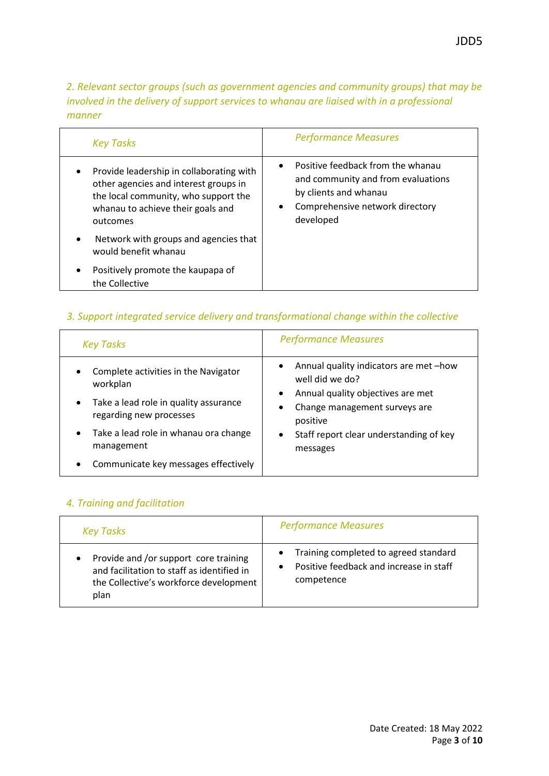*2. Relevant sector groups (such as government agencies and community groups) that may be involved in the delivery of support services to whanau are liaised with in a professional manner*

| <b>Key Tasks</b>                                                                                                                                                                        | <b>Performance Measures</b>                                                                                                                                   |
|-----------------------------------------------------------------------------------------------------------------------------------------------------------------------------------------|---------------------------------------------------------------------------------------------------------------------------------------------------------------|
| Provide leadership in collaborating with<br>$\bullet$<br>other agencies and interest groups in<br>the local community, who support the<br>whanau to achieve their goals and<br>outcomes | Positive feedback from the whanau<br>$\bullet$<br>and community and from evaluations<br>by clients and whanau<br>Comprehensive network directory<br>developed |
| Network with groups and agencies that<br>$\bullet$<br>would benefit whanau                                                                                                              |                                                                                                                                                               |
| Positively promote the kaupapa of<br>٠<br>the Collective                                                                                                                                |                                                                                                                                                               |

### *3. Support integrated service delivery and transformational change within the collective*

| <b>Key Tasks</b>                                                                                                                                                                                                                              | <b>Performance Measures</b>                                                                                                                                                                                                                   |
|-----------------------------------------------------------------------------------------------------------------------------------------------------------------------------------------------------------------------------------------------|-----------------------------------------------------------------------------------------------------------------------------------------------------------------------------------------------------------------------------------------------|
| Complete activities in the Navigator<br>workplan<br>Take a lead role in quality assurance<br>$\bullet$<br>regarding new processes<br>Take a lead role in whanau ora change<br>$\bullet$<br>management<br>Communicate key messages effectively | Annual quality indicators are met-how<br>$\bullet$<br>well did we do?<br>Annual quality objectives are met<br>$\bullet$<br>Change management surveys are<br>٠<br>positive<br>Staff report clear understanding of key<br>$\bullet$<br>messages |

#### *4. Training and facilitation*

| <b>Key Tasks</b>                           | <b>Performance Measures</b>             |
|--------------------------------------------|-----------------------------------------|
| Provide and /or support core training      | Training completed to agreed standard   |
| and facilitation to staff as identified in | $\bullet$                               |
| the Collective's workforce development     | Positive feedback and increase in staff |
| plan                                       | competence                              |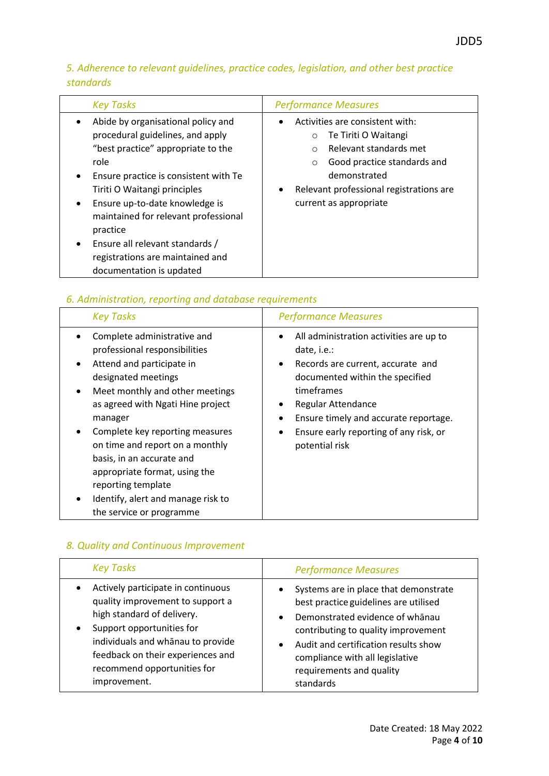## *5. Adherence to relevant guidelines, practice codes, legislation, and other best practice standards*

| <b>Key Tasks</b>                                                                                                                                                                                                                                                                                                                                                                                    | <b>Performance Measures</b>                                                                                                                                                                                                            |
|-----------------------------------------------------------------------------------------------------------------------------------------------------------------------------------------------------------------------------------------------------------------------------------------------------------------------------------------------------------------------------------------------------|----------------------------------------------------------------------------------------------------------------------------------------------------------------------------------------------------------------------------------------|
| Abide by organisational policy and<br>procedural guidelines, and apply<br>"best practice" appropriate to the<br>role<br>Ensure practice is consistent with Te<br>Tiriti O Waitangi principles<br>Ensure up-to-date knowledge is<br>$\bullet$<br>maintained for relevant professional<br>practice<br>Ensure all relevant standards /<br>registrations are maintained and<br>documentation is updated | Activities are consistent with:<br>Te Tiriti O Waitangi<br>$\circ$<br>Relevant standards met<br>$\circ$<br>Good practice standards and<br>$\circ$<br>demonstrated<br>Relevant professional registrations are<br>current as appropriate |

## *6. Administration, reporting and database requirements*

| <b>Key Tasks</b>                                                                                                                                                                                                                                                                                                                                                                                                                | <b>Performance Measures</b>                                                                                                                                                                                                                                                                                        |
|---------------------------------------------------------------------------------------------------------------------------------------------------------------------------------------------------------------------------------------------------------------------------------------------------------------------------------------------------------------------------------------------------------------------------------|--------------------------------------------------------------------------------------------------------------------------------------------------------------------------------------------------------------------------------------------------------------------------------------------------------------------|
| Complete administrative and<br>professional responsibilities<br>Attend and participate in<br>designated meetings<br>Meet monthly and other meetings<br>as agreed with Ngati Hine project<br>manager<br>Complete key reporting measures<br>on time and report on a monthly<br>basis, in an accurate and<br>appropriate format, using the<br>reporting template<br>Identify, alert and manage risk to<br>the service or programme | All administration activities are up to<br>٠<br>date, i.e.:<br>Records are current, accurate and<br>$\bullet$<br>documented within the specified<br>timeframes<br><b>Regular Attendance</b><br>٠<br>Ensure timely and accurate reportage.<br>Ensure early reporting of any risk, or<br>$\bullet$<br>potential risk |

## *8. Quality and Continuous Improvement*

| <b>Key Tasks</b>                                                                                                                                                                                                                                           | <b>Performance Measures</b>                                                                                                                                                                                                                                                                                         |
|------------------------------------------------------------------------------------------------------------------------------------------------------------------------------------------------------------------------------------------------------------|---------------------------------------------------------------------------------------------------------------------------------------------------------------------------------------------------------------------------------------------------------------------------------------------------------------------|
| Actively participate in continuous<br>quality improvement to support a<br>high standard of delivery.<br>Support opportunities for<br>individuals and whanau to provide<br>feedback on their experiences and<br>recommend opportunities for<br>improvement. | Systems are in place that demonstrate<br>$\bullet$<br>best practice guidelines are utilised<br>Demonstrated evidence of whanau<br>$\bullet$<br>contributing to quality improvement<br>Audit and certification results show<br>$\bullet$<br>compliance with all legislative<br>requirements and quality<br>standards |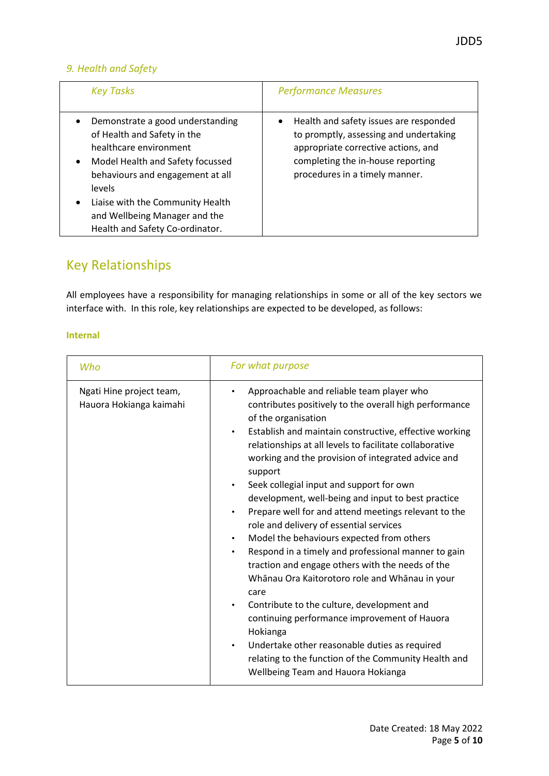### *9. Health and Safety*

| <b>Key Tasks</b>                                                                                                                                                                                                                                                                                              | <b>Performance Measures</b>                                                                                                                                                                      |
|---------------------------------------------------------------------------------------------------------------------------------------------------------------------------------------------------------------------------------------------------------------------------------------------------------------|--------------------------------------------------------------------------------------------------------------------------------------------------------------------------------------------------|
| Demonstrate a good understanding<br>of Health and Safety in the<br>healthcare environment<br>Model Health and Safety focussed<br>$\bullet$<br>behaviours and engagement at all<br>levels<br>Liaise with the Community Health<br>$\bullet$<br>and Wellbeing Manager and the<br>Health and Safety Co-ordinator. | • Health and safety issues are responded<br>to promptly, assessing and undertaking<br>appropriate corrective actions, and<br>completing the in-house reporting<br>procedures in a timely manner. |

# Key Relationships

All employees have a responsibility for managing relationships in some or all of the key sectors we interface with. In this role, key relationships are expected to be developed, as follows:

#### **Internal**

| Who                                                 | For what purpose                                                                                                                                                                                                                                                                                                                                                                                                                                                                                                                                                                                                                                                                                                                                                                                                                                                                                                                                                                                                                                                                            |
|-----------------------------------------------------|---------------------------------------------------------------------------------------------------------------------------------------------------------------------------------------------------------------------------------------------------------------------------------------------------------------------------------------------------------------------------------------------------------------------------------------------------------------------------------------------------------------------------------------------------------------------------------------------------------------------------------------------------------------------------------------------------------------------------------------------------------------------------------------------------------------------------------------------------------------------------------------------------------------------------------------------------------------------------------------------------------------------------------------------------------------------------------------------|
| Ngati Hine project team,<br>Hauora Hokianga kaimahi | Approachable and reliable team player who<br>contributes positively to the overall high performance<br>of the organisation<br>Establish and maintain constructive, effective working<br>$\bullet$<br>relationships at all levels to facilitate collaborative<br>working and the provision of integrated advice and<br>support<br>Seek collegial input and support for own<br>$\bullet$<br>development, well-being and input to best practice<br>Prepare well for and attend meetings relevant to the<br>$\bullet$<br>role and delivery of essential services<br>Model the behaviours expected from others<br>$\bullet$<br>Respond in a timely and professional manner to gain<br>$\bullet$<br>traction and engage others with the needs of the<br>Whānau Ora Kaitorotoro role and Whānau in your<br>care<br>Contribute to the culture, development and<br>$\bullet$<br>continuing performance improvement of Hauora<br>Hokianga<br>Undertake other reasonable duties as required<br>$\bullet$<br>relating to the function of the Community Health and<br>Wellbeing Team and Hauora Hokianga |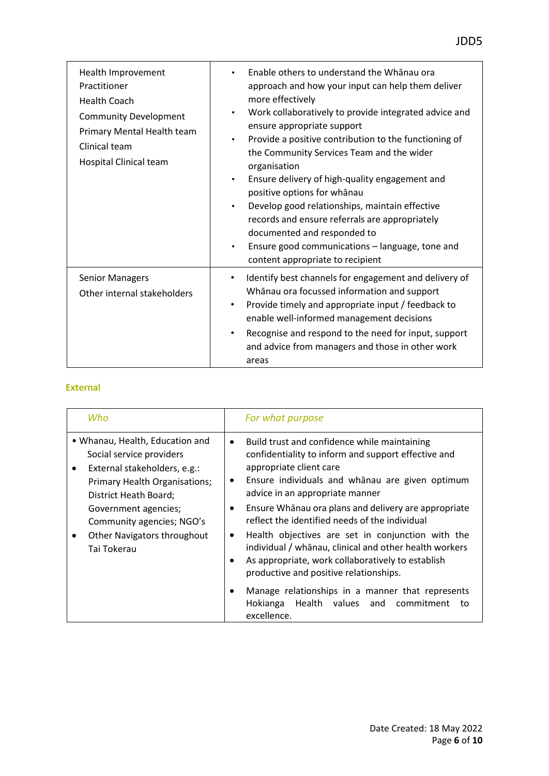| Health Improvement<br>Practitioner<br><b>Health Coach</b><br><b>Community Development</b><br>Primary Mental Health team<br>Clinical team<br>Hospital Clinical team | Enable others to understand the Whanau ora<br>$\bullet$<br>approach and how your input can help them deliver<br>more effectively<br>Work collaboratively to provide integrated advice and<br>$\bullet$<br>ensure appropriate support<br>Provide a positive contribution to the functioning of<br>$\bullet$<br>the Community Services Team and the wider<br>organisation<br>Ensure delivery of high-quality engagement and<br>$\bullet$<br>positive options for whanau<br>Develop good relationships, maintain effective<br>$\bullet$<br>records and ensure referrals are appropriately<br>documented and responded to<br>Ensure good communications - language, tone and<br>$\bullet$<br>content appropriate to recipient |
|--------------------------------------------------------------------------------------------------------------------------------------------------------------------|---------------------------------------------------------------------------------------------------------------------------------------------------------------------------------------------------------------------------------------------------------------------------------------------------------------------------------------------------------------------------------------------------------------------------------------------------------------------------------------------------------------------------------------------------------------------------------------------------------------------------------------------------------------------------------------------------------------------------|
| <b>Senior Managers</b><br>Other internal stakeholders                                                                                                              | Identify best channels for engagement and delivery of<br>Whanau ora focussed information and support<br>Provide timely and appropriate input / feedback to<br>$\bullet$<br>enable well-informed management decisions<br>Recognise and respond to the need for input, support<br>$\bullet$<br>and advice from managers and those in other work<br>areas                                                                                                                                                                                                                                                                                                                                                                    |

#### **External**

| Who                                                                                                                                                        | For what purpose                                                                                                                                                                                                                                                                                                                       |
|------------------------------------------------------------------------------------------------------------------------------------------------------------|----------------------------------------------------------------------------------------------------------------------------------------------------------------------------------------------------------------------------------------------------------------------------------------------------------------------------------------|
| • Whanau, Health, Education and<br>Social service providers<br>External stakeholders, e.g.:<br>٠<br>Primary Health Organisations;<br>District Heath Board; | Build trust and confidence while maintaining<br>$\bullet$<br>confidentiality to inform and support effective and<br>appropriate client care<br>Ensure individuals and whanau are given optimum<br>$\bullet$<br>advice in an appropriate manner                                                                                         |
| Government agencies;<br>Community agencies; NGO's<br>Other Navigators throughout<br>Tai Tokerau                                                            | Ensure Whānau ora plans and delivery are appropriate<br>$\bullet$<br>reflect the identified needs of the individual<br>Health objectives are set in conjunction with the<br>٠<br>individual / whānau, clinical and other health workers<br>As appropriate, work collaboratively to establish<br>productive and positive relationships. |
|                                                                                                                                                            | Manage relationships in a manner that represents<br>Health values and<br>Hokianga<br>commitment<br>tο<br>excellence.                                                                                                                                                                                                                   |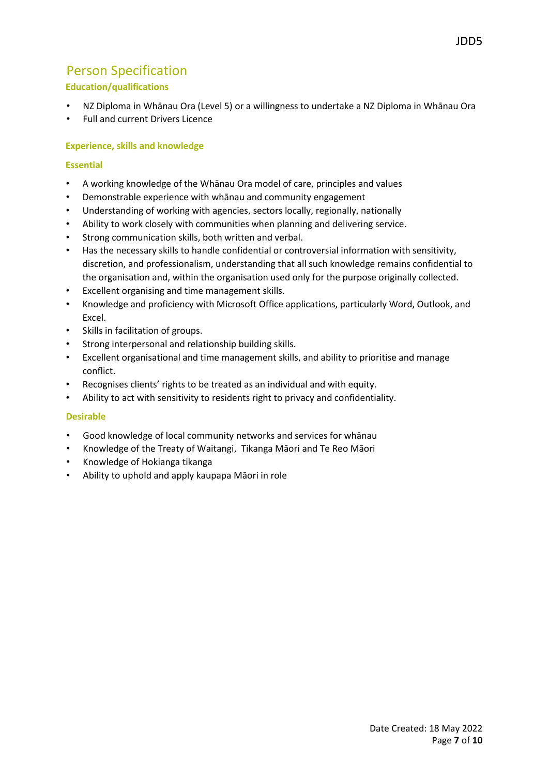## Person Specification

#### **Education/qualifications**

- NZ Diploma in Whānau Ora (Level 5) or a willingness to undertake a NZ Diploma in Whānau Ora
- Full and current Drivers Licence

#### **Experience, skills and knowledge**

#### **Essential**

- A working knowledge of the Whānau Ora model of care, principles and values
- Demonstrable experience with whānau and community engagement
- Understanding of working with agencies, sectors locally, regionally, nationally
- Ability to work closely with communities when planning and delivering service.
- Strong communication skills, both written and verbal.
- Has the necessary skills to handle confidential or controversial information with sensitivity, discretion, and professionalism, understanding that all such knowledge remains confidential to the organisation and, within the organisation used only for the purpose originally collected.
- Excellent organising and time management skills.
- Knowledge and proficiency with Microsoft Office applications, particularly Word, Outlook, and Excel.
- Skills in facilitation of groups.
- Strong interpersonal and relationship building skills.
- Excellent organisational and time management skills, and ability to prioritise and manage conflict.
- Recognises clients' rights to be treated as an individual and with equity.
- Ability to act with sensitivity to residents right to privacy and confidentiality.

#### **Desirable**

- Good knowledge of local community networks and services for whānau
- Knowledge of the Treaty of Waitangi, Tikanga Māori and Te Reo Māori
- Knowledge of Hokianga tikanga
- Ability to uphold and apply kaupapa Māori in role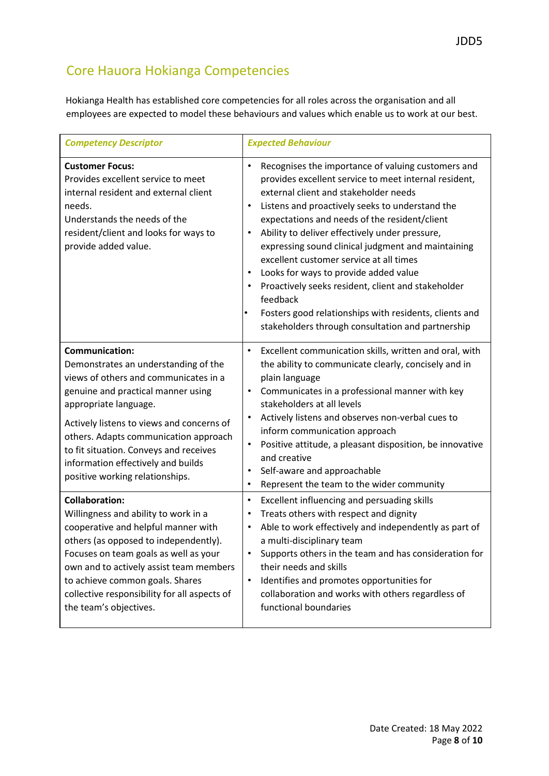# Core Hauora Hokianga Competencies

Hokianga Health has established core competencies for all roles across the organisation and all employees are expected to model these behaviours and values which enable us to work at our best.

| <b>Competency Descriptor</b>                                                                                                                                                                                                                                                                                                                                                   | <b>Expected Behaviour</b>                                                                                                                                                                                                                                                                                                                                                                                                                                                                                                                                                                                                                                                                   |
|--------------------------------------------------------------------------------------------------------------------------------------------------------------------------------------------------------------------------------------------------------------------------------------------------------------------------------------------------------------------------------|---------------------------------------------------------------------------------------------------------------------------------------------------------------------------------------------------------------------------------------------------------------------------------------------------------------------------------------------------------------------------------------------------------------------------------------------------------------------------------------------------------------------------------------------------------------------------------------------------------------------------------------------------------------------------------------------|
| <b>Customer Focus:</b><br>Provides excellent service to meet<br>internal resident and external client<br>needs.<br>Understands the needs of the<br>resident/client and looks for ways to<br>provide added value.                                                                                                                                                               | Recognises the importance of valuing customers and<br>$\bullet$<br>provides excellent service to meet internal resident,<br>external client and stakeholder needs<br>Listens and proactively seeks to understand the<br>٠<br>expectations and needs of the resident/client<br>Ability to deliver effectively under pressure,<br>$\bullet$<br>expressing sound clinical judgment and maintaining<br>excellent customer service at all times<br>Looks for ways to provide added value<br>٠<br>Proactively seeks resident, client and stakeholder<br>$\bullet$<br>feedback<br>Fosters good relationships with residents, clients and<br>٠<br>stakeholders through consultation and partnership |
| <b>Communication:</b><br>Demonstrates an understanding of the<br>views of others and communicates in a<br>genuine and practical manner using<br>appropriate language.<br>Actively listens to views and concerns of<br>others. Adapts communication approach<br>to fit situation. Conveys and receives<br>information effectively and builds<br>positive working relationships. | Excellent communication skills, written and oral, with<br>$\bullet$<br>the ability to communicate clearly, concisely and in<br>plain language<br>Communicates in a professional manner with key<br>$\bullet$<br>stakeholders at all levels<br>Actively listens and observes non-verbal cues to<br>$\bullet$<br>inform communication approach<br>Positive attitude, a pleasant disposition, be innovative<br>$\bullet$<br>and creative<br>Self-aware and approachable<br>$\bullet$<br>Represent the team to the wider community<br>$\bullet$                                                                                                                                                 |
| <b>Collaboration:</b><br>Willingness and ability to work in a<br>cooperative and helpful manner with<br>others (as opposed to independently).<br>Focuses on team goals as well as your<br>own and to actively assist team members<br>to achieve common goals. Shares<br>collective responsibility for all aspects of<br>the team's objectives.                                 | Excellent influencing and persuading skills<br>$\bullet$<br>Treats others with respect and dignity<br>$\bullet$<br>Able to work effectively and independently as part of<br>$\bullet$<br>a multi-disciplinary team<br>Supports others in the team and has consideration for<br>$\bullet$<br>their needs and skills<br>Identifies and promotes opportunities for<br>$\bullet$<br>collaboration and works with others regardless of<br>functional boundaries                                                                                                                                                                                                                                  |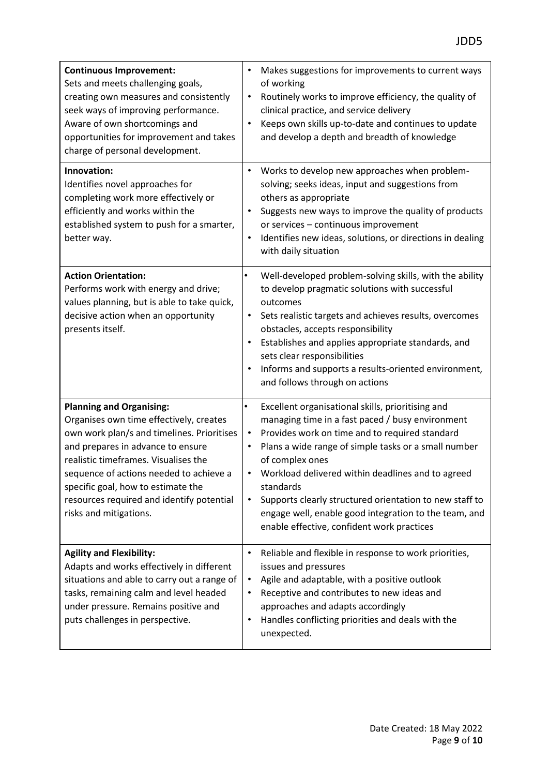| <b>Continuous Improvement:</b><br>Sets and meets challenging goals,<br>creating own measures and consistently<br>seek ways of improving performance.<br>Aware of own shortcomings and<br>opportunities for improvement and takes<br>charge of personal development.                                                                                           | Makes suggestions for improvements to current ways<br>$\bullet$<br>of working<br>Routinely works to improve efficiency, the quality of<br>$\bullet$<br>clinical practice, and service delivery<br>Keeps own skills up-to-date and continues to update<br>$\bullet$<br>and develop a depth and breadth of knowledge                                                                                                                                                                                            |
|---------------------------------------------------------------------------------------------------------------------------------------------------------------------------------------------------------------------------------------------------------------------------------------------------------------------------------------------------------------|---------------------------------------------------------------------------------------------------------------------------------------------------------------------------------------------------------------------------------------------------------------------------------------------------------------------------------------------------------------------------------------------------------------------------------------------------------------------------------------------------------------|
| Innovation:<br>Identifies novel approaches for<br>completing work more effectively or<br>efficiently and works within the<br>established system to push for a smarter,<br>better way.                                                                                                                                                                         | Works to develop new approaches when problem-<br>$\bullet$<br>solving; seeks ideas, input and suggestions from<br>others as appropriate<br>Suggests new ways to improve the quality of products<br>$\bullet$<br>or services - continuous improvement<br>Identifies new ideas, solutions, or directions in dealing<br>$\bullet$<br>with daily situation                                                                                                                                                        |
| <b>Action Orientation:</b><br>Performs work with energy and drive;<br>values planning, but is able to take quick,<br>decisive action when an opportunity<br>presents itself.                                                                                                                                                                                  | Well-developed problem-solving skills, with the ability<br>٠<br>to develop pragmatic solutions with successful<br>outcomes<br>Sets realistic targets and achieves results, overcomes<br>$\bullet$<br>obstacles, accepts responsibility<br>Establishes and applies appropriate standards, and<br>sets clear responsibilities<br>Informs and supports a results-oriented environment,<br>and follows through on actions                                                                                         |
| <b>Planning and Organising:</b><br>Organises own time effectively, creates<br>own work plan/s and timelines. Prioritises<br>and prepares in advance to ensure<br>realistic timeframes. Visualises the<br>sequence of actions needed to achieve a<br>specific goal, how to estimate the<br>resources required and identify potential<br>risks and mitigations. | Excellent organisational skills, prioritising and<br>$\bullet$<br>managing time in a fast paced / busy environment<br>Provides work on time and to required standard<br>$\bullet$<br>Plans a wide range of simple tasks or a small number<br>of complex ones<br>Workload delivered within deadlines and to agreed<br>standards<br>Supports clearly structured orientation to new staff to<br>$\bullet$<br>engage well, enable good integration to the team, and<br>enable effective, confident work practices |
| <b>Agility and Flexibility:</b><br>Adapts and works effectively in different<br>situations and able to carry out a range of<br>tasks, remaining calm and level headed<br>under pressure. Remains positive and<br>puts challenges in perspective.                                                                                                              | Reliable and flexible in response to work priorities,<br>$\bullet$<br>issues and pressures<br>Agile and adaptable, with a positive outlook<br>$\bullet$<br>Receptive and contributes to new ideas and<br>$\bullet$<br>approaches and adapts accordingly<br>Handles conflicting priorities and deals with the<br>$\bullet$<br>unexpected.                                                                                                                                                                      |